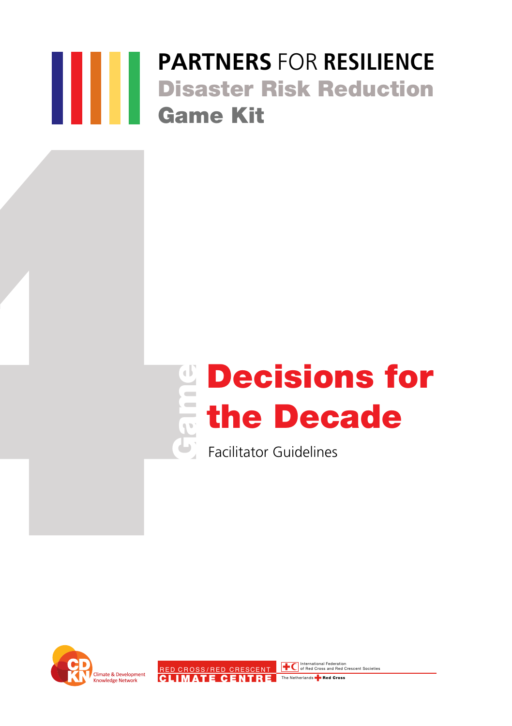# **PARTNERS** FOR **RESILIENCE** Disaster Risk Reduction Game Kit



Facilitator Guidelines

RED CROSS/RED CRESCENT **TO** International Federation CLIMATE CENTRE The Netherlands **Red Cross** 

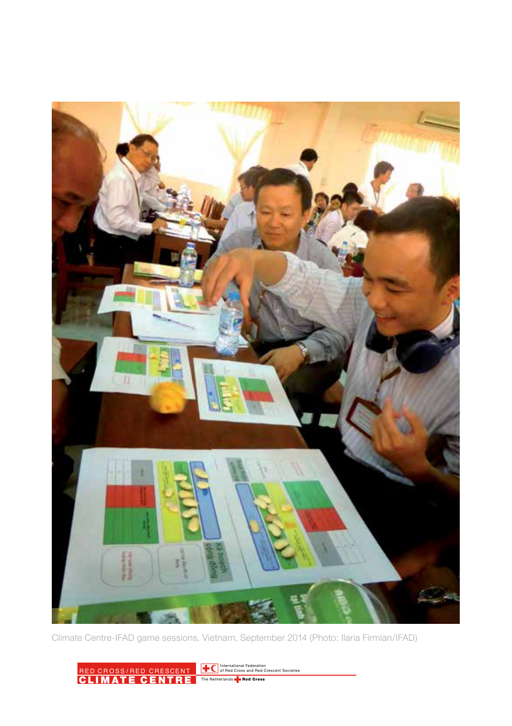

Climate Centre-IFAD game sessions, Vietnam, September 2014 (Photo: Ilaria Firmian/IFAD)

RED CROSS/RED CRESCENT<br>CLIMATE CENTRE International Federation of Red Cross and Red Crescent Societies Cross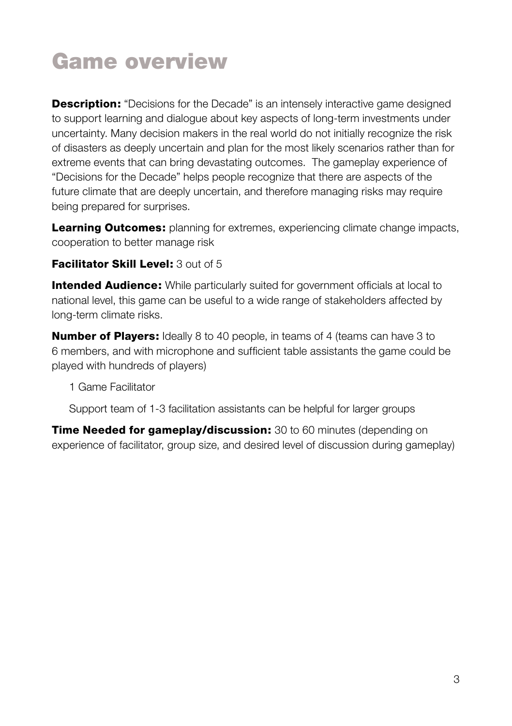# Game overview

**Description:** "Decisions for the Decade" is an intensely interactive game designed to support learning and dialogue about key aspects of long-term investments under uncertainty. Many decision makers in the real world do not initially recognize the risk of disasters as deeply uncertain and plan for the most likely scenarios rather than for extreme events that can bring devastating outcomes. The gameplay experience of "Decisions for the Decade" helps people recognize that there are aspects of the future climate that are deeply uncertain, and therefore managing risks may require being prepared for surprises.

**Learning Outcomes:** planning for extremes, experiencing climate change impacts, cooperation to better manage risk

### Facilitator Skill Level: 3 out of 5

**Intended Audience:** While particularly suited for government officials at local to national level, this game can be useful to a wide range of stakeholders affected by long-term climate risks.

**Number of Players:** Ideally 8 to 40 people, in teams of 4 (teams can have 3 to 6 members, and with microphone and sufficient table assistants the game could be played with hundreds of players)

1 Game Facilitator

Support team of 1-3 facilitation assistants can be helpful for larger groups

**Time Needed for gameplay/discussion:** 30 to 60 minutes (depending on experience of facilitator, group size, and desired level of discussion during gameplay)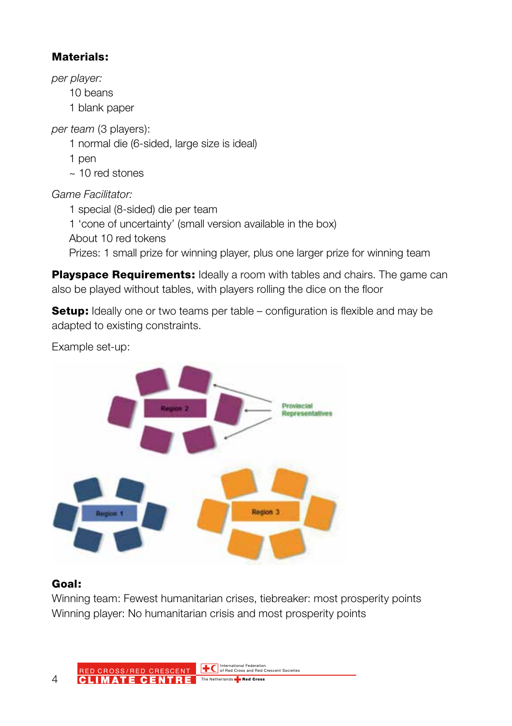## Materials:

*per player:*

10 beans

1 blank paper

*per team* (3 players):

1 normal die (6-sided, large size is ideal)

1 pen

 $\approx$  10 red stones

*Game Facilitator:*

1 special (8-sided) die per team 1 'cone of uncertainty' (small version available in the box) About 10 red tokens Prizes: 1 small prize for winning player, plus one larger prize for winning team

Playspace Requirements: Ideally a room with tables and chairs. The game can also be played without tables, with players rolling the dice on the floor

**Setup:** Ideally one or two teams per table – configuration is flexible and may be adapted to existing constraints.

Example set-up:



## Goal:

Winning team: Fewest humanitarian crises, tiebreaker: most prosperity points Winning player: No humanitarian crisis and most prosperity points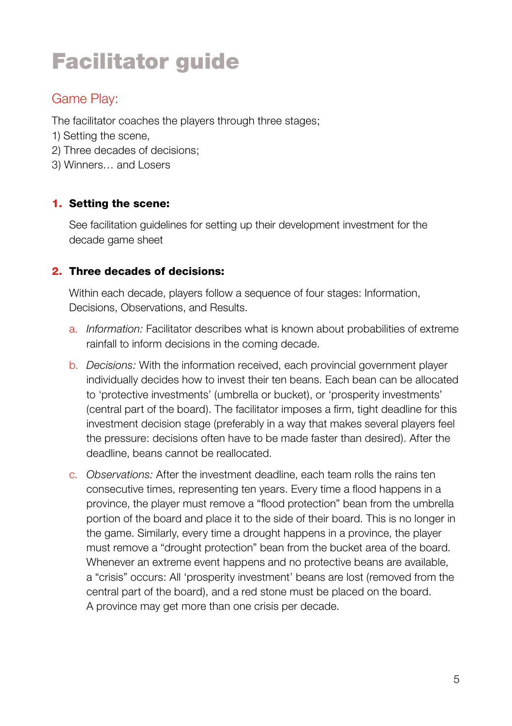# Facilitator guide

## Game Play:

The facilitator coaches the players through three stages;

- 1) Setting the scene,
- 2) Three decades of decisions;
- 3) Winners… and Losers

### 1. Setting the scene:

See facilitation guidelines for setting up their development investment for the decade game sheet

### 2. Three decades of decisions:

Within each decade, players follow a sequence of four stages: Information, Decisions, Observations, and Results.

- a. *Information:* Facilitator describes what is known about probabilities of extreme rainfall to inform decisions in the coming decade.
- b. *Decisions:* With the information received, each provincial government player individually decides how to invest their ten beans. Each bean can be allocated to 'protective investments' (umbrella or bucket), or 'prosperity investments' (central part of the board). The facilitator imposes a firm, tight deadline for this investment decision stage (preferably in a way that makes several players feel the pressure: decisions often have to be made faster than desired). After the deadline, beans cannot be reallocated.
- c. *Observations:* After the investment deadline, each team rolls the rains ten consecutive times, representing ten years. Every time a flood happens in a province, the player must remove a "flood protection" bean from the umbrella portion of the board and place it to the side of their board. This is no longer in the game. Similarly, every time a drought happens in a province, the player must remove a "drought protection" bean from the bucket area of the board. Whenever an extreme event happens and no protective beans are available. a "crisis" occurs: All 'prosperity investment' beans are lost (removed from the central part of the board), and a red stone must be placed on the board. A province may get more than one crisis per decade.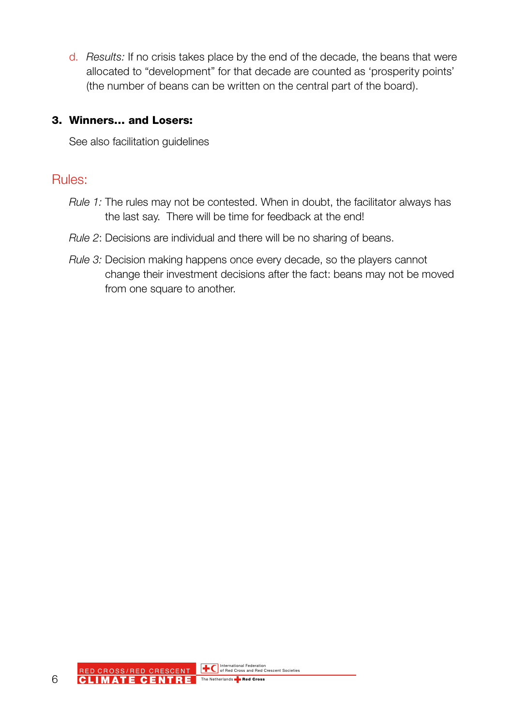d. *Results:* If no crisis takes place by the end of the decade, the beans that were allocated to "development" for that decade are counted as 'prosperity points' (the number of beans can be written on the central part of the board).

#### 3. Winners… and Losers:

See also facilitation guidelines

## Rules:

- *Rule 1:* The rules may not be contested. When in doubt, the facilitator always has the last say. There will be time for feedback at the end!
- *Rule 2*: Decisions are individual and there will be no sharing of beans.
- *Rule 3:* Decision making happens once every decade, so the players cannot change their investment decisions after the fact: beans may not be moved from one square to another.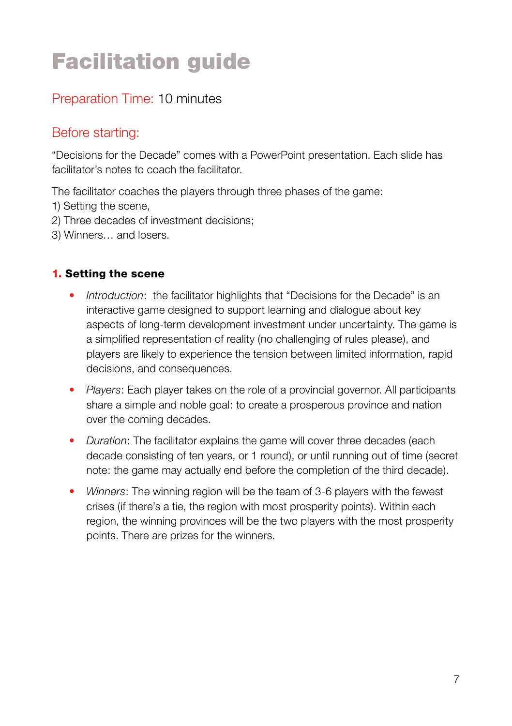# Facilitation guide

# Preparation Time: 10 minutes

# Before starting:

"Decisions for the Decade" comes with a PowerPoint presentation. Each slide has facilitator's notes to coach the facilitator.

The facilitator coaches the players through three phases of the game:

- 1) Setting the scene,
- 2) Three decades of investment decisions;
- 3) Winners… and losers.

### 1. Setting the scene

- *Introduction*: the facilitator highlights that "Decisions for the Decade" is an interactive game designed to support learning and dialogue about key aspects of long-term development investment under uncertainty. The game is a simplified representation of reality (no challenging of rules please), and players are likely to experience the tension between limited information, rapid decisions, and consequences.
- *Players*: Each player takes on the role of a provincial governor. All participants share a simple and noble goal: to create a prosperous province and nation over the coming decades.
- *Duration*: The facilitator explains the game will cover three decades (each decade consisting of ten years, or 1 round), or until running out of time (secret note: the game may actually end before the completion of the third decade).
- *Winners*: The winning region will be the team of 3-6 players with the fewest crises (if there's a tie, the region with most prosperity points). Within each region, the winning provinces will be the two players with the most prosperity points. There are prizes for the winners.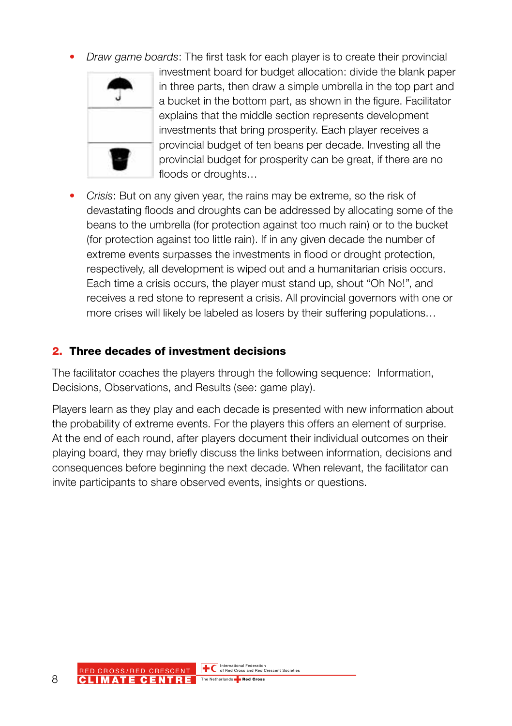• *Draw game boards*: The first task for each player is to create their provincial



investment board for budget allocation: divide the blank paper in three parts, then draw a simple umbrella in the top part and a bucket in the bottom part, as shown in the figure. Facilitator explains that the middle section represents development investments that bring prosperity. Each player receives a provincial budget of ten beans per decade. Investing all the provincial budget for prosperity can be great, if there are no floods or droughts…

• *Crisis*: But on any given year, the rains may be extreme, so the risk of devastating floods and droughts can be addressed by allocating some of the beans to the umbrella (for protection against too much rain) or to the bucket (for protection against too little rain). If in any given decade the number of extreme events surpasses the investments in flood or drought protection, respectively, all development is wiped out and a humanitarian crisis occurs. Each time a crisis occurs, the player must stand up, shout "Oh No!", and receives a red stone to represent a crisis. All provincial governors with one or more crises will likely be labeled as losers by their suffering populations…

#### 2. Three decades of investment decisions

The facilitator coaches the players through the following sequence: Information, Decisions, Observations, and Results (see: game play).

Players learn as they play and each decade is presented with new information about the probability of extreme events. For the players this offers an element of surprise. At the end of each round, after players document their individual outcomes on their playing board, they may briefly discuss the links between information, decisions and consequences before beginning the next decade. When relevant, the facilitator can invite participants to share observed events, insights or questions.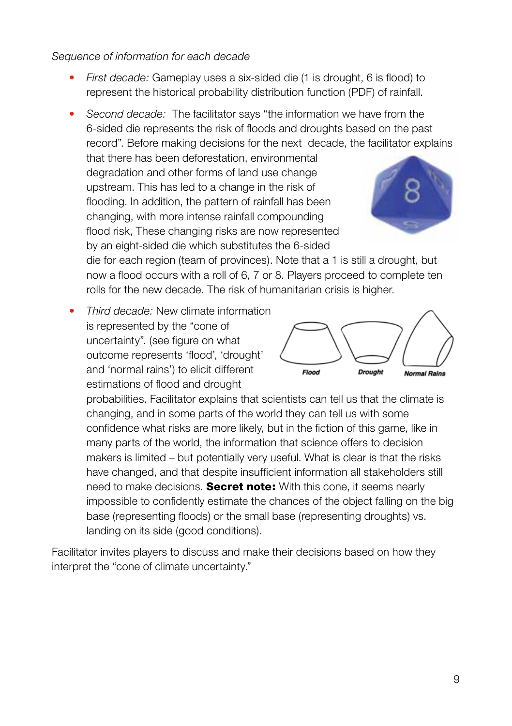#### *Sequence of information for each decade*

- *First decade:* Gameplay uses a six-sided die (1 is drought, 6 is flood) to represent the historical probability distribution function (PDF) of rainfall.
- *Second decade:* The facilitator says "the information we have from the 6-sided die represents the risk of floods and droughts based on the past record". Before making decisions for the next decade, the facilitator explains

that there has been deforestation, environmental degradation and other forms of land use change upstream. This has led to a change in the risk of flooding. In addition, the pattern of rainfall has been changing, with more intense rainfall compounding flood risk, These changing risks are now represented by an eight-sided die which substitutes the 6-sided



die for each region (team of provinces). Note that a 1 is still a drought, but now a flood occurs with a roll of 6, 7 or 8. Players proceed to complete ten rolls for the new decade. The risk of humanitarian crisis is higher.

• *Third decade:* New climate information is represented by the "cone of uncertainty". (see figure on what outcome represents 'flood', 'drought' and 'normal rains') to elicit different estimations of flood and drought



probabilities. Facilitator explains that scientists can tell us that the climate is changing, and in some parts of the world they can tell us with some confidence what risks are more likely, but in the fiction of this game, like in many parts of the world, the information that science offers to decision makers is limited – but potentially very useful. What is clear is that the risks have changed, and that despite insufficient information all stakeholders still need to make decisions. **Secret note:** With this cone, it seems nearly impossible to confidently estimate the chances of the object falling on the big base (representing floods) or the small base (representing droughts) vs. landing on its side (good conditions).

Facilitator invites players to discuss and make their decisions based on how they interpret the "cone of climate uncertainty."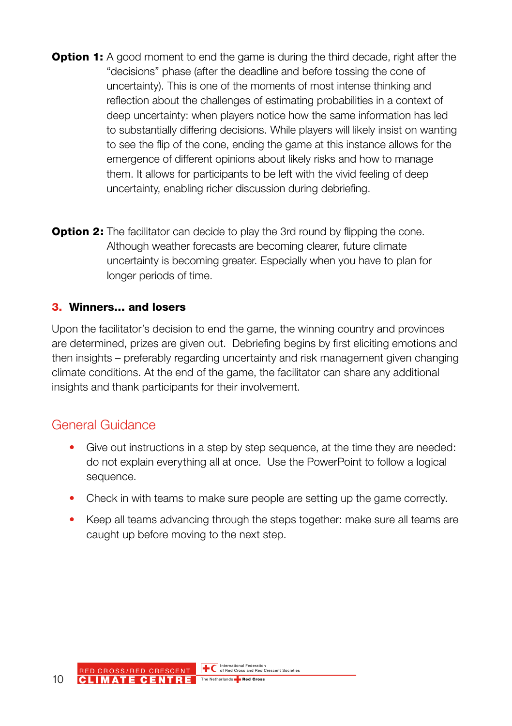- **Option 1:** A good moment to end the game is during the third decade, right after the "decisions" phase (after the deadline and before tossing the cone of uncertainty). This is one of the moments of most intense thinking and reflection about the challenges of estimating probabilities in a context of deep uncertainty: when players notice how the same information has led to substantially differing decisions. While players will likely insist on wanting to see the flip of the cone, ending the game at this instance allows for the emergence of different opinions about likely risks and how to manage them. It allows for participants to be left with the vivid feeling of deep uncertainty, enabling richer discussion during debriefing.
- **Option 2:** The facilitator can decide to play the 3rd round by flipping the cone. Although weather forecasts are becoming clearer, future climate uncertainty is becoming greater. Especially when you have to plan for longer periods of time.

#### 3. Winners… and losers

Upon the facilitator's decision to end the game, the winning country and provinces are determined, prizes are given out. Debriefing begins by first eliciting emotions and then insights – preferably regarding uncertainty and risk management given changing climate conditions. At the end of the game, the facilitator can share any additional insights and thank participants for their involvement.

#### General Guidance

- Give out instructions in a step by step sequence, at the time they are needed: do not explain everything all at once. Use the PowerPoint to follow a logical sequence.
- Check in with teams to make sure people are setting up the game correctly.
- Keep all teams advancing through the steps together: make sure all teams are caught up before moving to the next step.